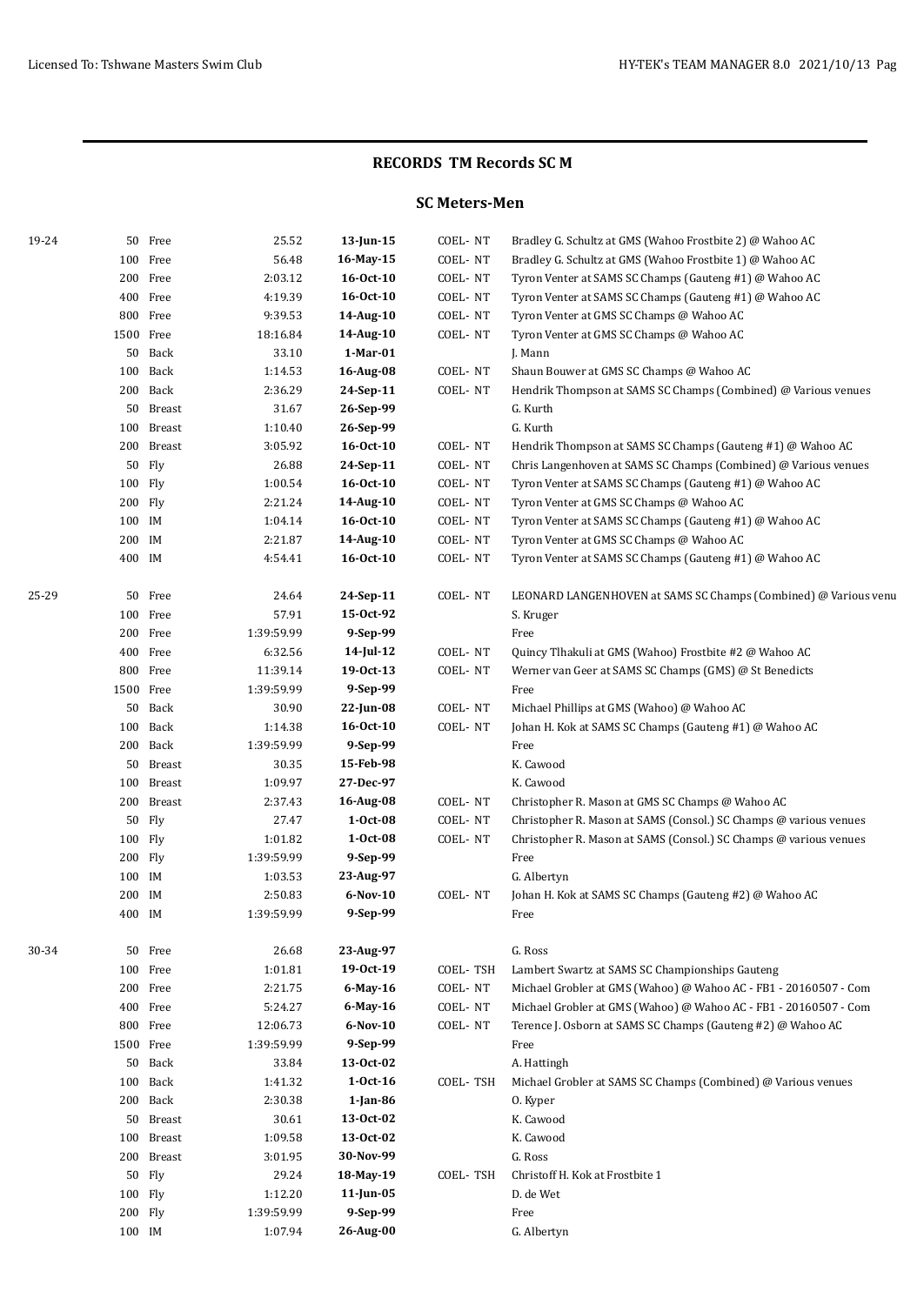## **SC Meters-Men**

| 19-24 |                  | 50 Free              | 25.52                 | $13$ -Jun-15             | COEL-NT  | Bradley G. Schultz at GMS (Wahoo Frostbite 2) @ Wahoo AC          |
|-------|------------------|----------------------|-----------------------|--------------------------|----------|-------------------------------------------------------------------|
|       |                  | 100 Free             | 56.48                 | 16-May-15                | COEL-NT  | Bradley G. Schultz at GMS (Wahoo Frostbite 1) @ Wahoo AC          |
|       |                  | 200 Free             | 2:03.12               | 16-Oct-10                | COEL-NT  | Tyron Venter at SAMS SC Champs (Gauteng #1) @ Wahoo AC            |
|       |                  | 400 Free             | 4:19.39               | $16 - Oct - 10$          | COEL-NT  | Tyron Venter at SAMS SC Champs (Gauteng #1) @ Wahoo AC            |
|       |                  | 800 Free             | 9:39.53               | 14-Aug-10                | COEL-NT  | Tyron Venter at GMS SC Champs @ Wahoo AC                          |
|       | 1500 Free        |                      | 18:16.84              | 14-Aug-10                | COEL-NT  | Tyron Venter at GMS SC Champs @ Wahoo AC                          |
|       |                  | 50 Back              | 33.10                 | 1-Mar-01                 |          | J. Mann                                                           |
|       |                  | 100 Back             | 1:14.53               | 16-Aug-08                | COEL-NT  | Shaun Bouwer at GMS SC Champs @ Wahoo AC                          |
|       |                  | 200 Back             | 2:36.29               | 24-Sep-11                | COEL-NT  | Hendrik Thompson at SAMS SC Champs (Combined) @ Various venues    |
|       |                  | 50 Breast            | 31.67                 | 26-Sep-99                |          | G. Kurth                                                          |
|       |                  | 100 Breast           | 1:10.40               | 26-Sep-99                |          | G. Kurth                                                          |
|       |                  | 200 Breast           | 3:05.92               | $16 - Oct - 10$          | COEL-NT  | Hendrik Thompson at SAMS SC Champs (Gauteng #1) @ Wahoo AC        |
|       |                  | 50 Fly               | 26.88                 | 24-Sep-11                | COEL-NT  | Chris Langenhoven at SAMS SC Champs (Combined) @ Various venues   |
|       | 100 Fly          |                      | 1:00.54               | $16 - Oct-10$            | COEL-NT  | Tyron Venter at SAMS SC Champs (Gauteng #1) @ Wahoo AC            |
|       | 200 Fly          |                      | 2:21.24               | 14-Aug-10                | COEL-NT  | Tyron Venter at GMS SC Champs @ Wahoo AC                          |
|       | 100 IM           |                      | 1:04.14               | 16-0ct-10                | COEL-NT  | Tyron Venter at SAMS SC Champs (Gauteng #1) @ Wahoo AC            |
|       | 200 IM           |                      | 2:21.87               | 14-Aug-10                | COEL-NT  | Tyron Venter at GMS SC Champs @ Wahoo AC                          |
|       | 400 IM           |                      | 4:54.41               | 16-0ct-10                | COEL-NT  | Tyron Venter at SAMS SC Champs (Gauteng #1) @ Wahoo AC            |
| 25-29 |                  | 50 Free              | 24.64                 | 24-Sep-11                | COEL-NT  | LEONARD LANGENHOVEN at SAMS SC Champs (Combined) @ Various venu   |
|       |                  | 100 Free             | 57.91                 | 15-0ct-92                |          | S. Kruger                                                         |
|       |                  | 200 Free             | 1:39:59.99            | 9-Sep-99                 |          | Free                                                              |
|       |                  | 400 Free             | 6:32.56               | 14-Jul-12                | COEL-NT  | Quincy Tlhakuli at GMS (Wahoo) Frostbite #2 @ Wahoo AC            |
|       |                  | 800 Free             | 11:39.14              | 19-0ct-13                | COEL-NT  | Werner van Geer at SAMS SC Champs (GMS) @ St Benedicts            |
|       |                  | 1500 Free            | 1:39:59.99            | 9-Sep-99                 |          | Free                                                              |
|       |                  | 50 Back              | 30.90                 | 22-Jun-08                | COEL-NT  | Michael Phillips at GMS (Wahoo) @ Wahoo AC                        |
|       |                  | 100 Back             | 1:14.38               | $16 - Oct-10$            | COEL-NT  | Johan H. Kok at SAMS SC Champs (Gauteng #1) @ Wahoo AC            |
|       |                  | 200 Back             | 1:39:59.99            | 9-Sep-99                 |          | Free                                                              |
|       |                  | 50 Breast            | 30.35                 | 15-Feb-98                |          | K. Cawood                                                         |
|       |                  | 100 Breast           | 1:09.97               | 27-Dec-97                |          | K. Cawood                                                         |
|       |                  | 200 Breast           | 2:37.43               | 16-Aug-08                | COEL-NT  | Christopher R. Mason at GMS SC Champs @ Wahoo AC                  |
|       |                  | 50 Fly               | 27.47                 | $1-0ct-08$               | COEL-NT  | Christopher R. Mason at SAMS (Consol.) SC Champs @ various venues |
|       | 100 Fly          |                      | 1:01.82               | $1-0ct-08$               | COEL-NT  | Christopher R. Mason at SAMS (Consol.) SC Champs @ various venues |
|       | 200 Fly          |                      | 1:39:59.99            | 9-Sep-99                 |          | Free                                                              |
|       | 100 IM           |                      | 1:03.53               | 23-Aug-97                |          | G. Albertyn                                                       |
|       | 200 IM<br>400 IM |                      | 2:50.83<br>1:39:59.99 | 6-Nov-10<br>9-Sep-99     | COEL-NT  | Johan H. Kok at SAMS SC Champs (Gauteng #2) @ Wahoo AC            |
|       |                  |                      |                       |                          |          | Free                                                              |
| 30-34 |                  | 50 Free              | 26.68                 | 23-Aug-97                |          | G. Ross                                                           |
|       |                  | 100 Free             | 1:01.81               | 19-0ct-19                | COEL-TSH | Lambert Swartz at SAMS SC Championships Gauteng                   |
|       |                  | 200 Free             | 2:21.75               | 6-May-16                 | COEL-NT  | Michael Grobler at GMS (Wahoo) @ Wahoo AC - FB1 - 20160507 - Com  |
|       |                  | 400 Free             | 5:24.27               | 6-May-16                 | COEL-NT  | Michael Grobler at GMS (Wahoo) @ Wahoo AC - FB1 - 20160507 - Com  |
|       |                  | 800 Free             | 12:06.73              | $6-Nov-10$               | COEL-NT  | Terence J. Osborn at SAMS SC Champs (Gauteng #2) @ Wahoo AC       |
|       |                  | 1500 Free            | 1:39:59.99            | 9-Sep-99                 |          | Free                                                              |
|       |                  | 50 Back              | 33.84                 | 13-Oct-02                |          | A. Hattingh                                                       |
|       |                  | 100 Back             | 1:41.32               | $1-0ct-16$               | COEL-TSH | Michael Grobler at SAMS SC Champs (Combined) @ Various venues     |
|       |                  | 200 Back             | 2:30.38<br>30.61      | $1$ -Jan-86<br>13-Oct-02 |          | 0. Kyper<br>K. Cawood                                             |
|       |                  | 50 Breast            |                       | 13-Oct-02                |          | K. Cawood                                                         |
|       |                  | 100 Breast           | 1:09.58               |                          |          | G. Ross                                                           |
|       |                  | 200 Breast<br>50 Fly | 3:01.95<br>29.24      | 30-Nov-99<br>18-May-19   | COEL-TSH | Christoff H. Kok at Frostbite 1                                   |
|       | 100 Fly          |                      | 1:12.20               | $11$ -Jun-05             |          | D. de Wet                                                         |
|       | 200 Fly          |                      | 1:39:59.99            | 9-Sep-99                 |          | Free                                                              |
|       | 100 IM           |                      | 1:07.94               | 26-Aug-00                |          | G. Albertyn                                                       |
|       |                  |                      |                       |                          |          |                                                                   |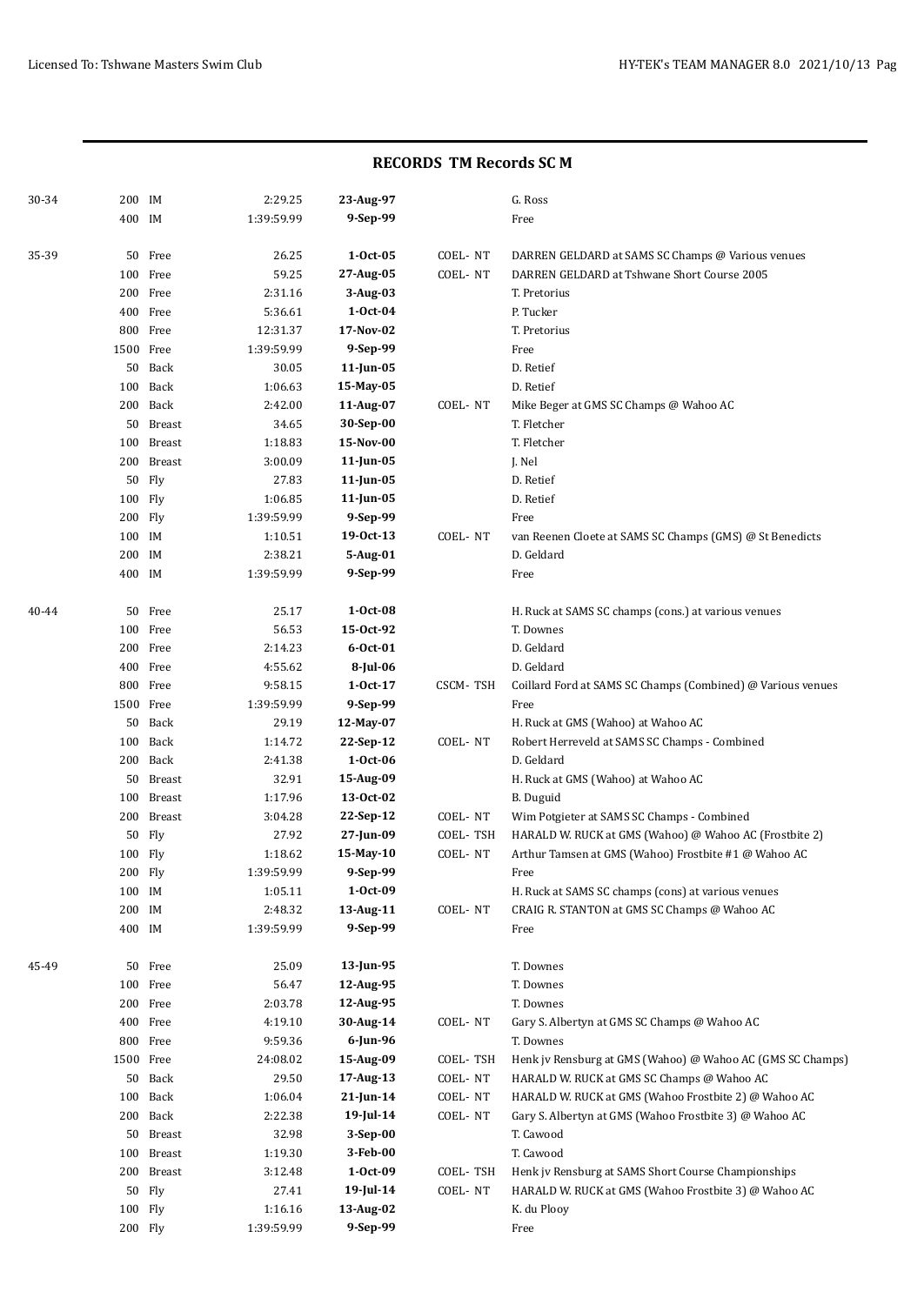| 30-34 | 200 IM    |            | 2:29.25    | 23-Aug-97      |          | G. Ross                                                     |
|-------|-----------|------------|------------|----------------|----------|-------------------------------------------------------------|
|       | 400 IM    |            | 1:39:59.99 | 9-Sep-99       |          | Free                                                        |
|       |           |            |            |                |          |                                                             |
| 35-39 |           | 50 Free    | 26.25      | $1-0ct-05$     | COEL-NT  | DARREN GELDARD at SAMS SC Champs @ Various venues           |
|       |           | 100 Free   | 59.25      | 27-Aug-05      | COEL-NT  | DARREN GELDARD at Tshwane Short Course 2005                 |
|       |           | 200 Free   | 2:31.16    | 3-Aug-03       |          | T. Pretorius                                                |
|       |           | 400 Free   | 5:36.61    | $1-0ct-04$     |          | P. Tucker                                                   |
|       |           | 800 Free   | 12:31.37   | 17-Nov-02      |          | T. Pretorius                                                |
|       | 1500 Free |            | 1:39:59.99 | 9-Sep-99       |          | Free                                                        |
|       |           | 50 Back    | 30.05      | 11-Jun-05      |          | D. Retief                                                   |
|       |           | 100 Back   | 1:06.63    | 15-May-05      |          | D. Retief                                                   |
|       |           | 200 Back   | 2:42.00    | 11-Aug-07      | COEL-NT  | Mike Beger at GMS SC Champs @ Wahoo AC                      |
|       |           | 50 Breast  | 34.65      | 30-Sep-00      |          | T. Fletcher                                                 |
|       |           | 100 Breast | 1:18.83    | 15-Nov-00      |          | T. Fletcher                                                 |
|       |           | 200 Breast | 3:00.09    | $11$ -Jun-05   |          | J. Nel                                                      |
|       | 50        | Fly        | 27.83      | 11-Jun-05      |          | D. Retief                                                   |
|       | 100 Fly   |            | 1:06.85    | 11-Jun-05      |          | D. Retief                                                   |
|       | 200 Fly   |            | 1:39:59.99 | 9-Sep-99       |          | Free                                                        |
|       | 100 IM    |            | 1:10.51    | 19-0ct-13      | COEL-NT  | van Reenen Cloete at SAMS SC Champs (GMS) @ St Benedicts    |
|       | 200 IM    |            | 2:38.21    | 5-Aug-01       |          | D. Geldard                                                  |
|       | 400 IM    |            | 1:39:59.99 | 9-Sep-99       |          | Free                                                        |
| 40-44 |           | 50 Free    | 25.17      | $1-0ct-08$     |          | H. Ruck at SAMS SC champs (cons.) at various venues         |
|       |           | 100 Free   | 56.53      | 15-0ct-92      |          | T. Downes                                                   |
|       |           | 200 Free   | 2:14.23    | $6 - Oct - 01$ |          | D. Geldard                                                  |
|       |           | 400 Free   | 4:55.62    | 8-Jul-06       |          | D. Geldard                                                  |
|       |           | 800 Free   | 9:58.15    | $1-0ct-17$     | CSCM-TSH | Coillard Ford at SAMS SC Champs (Combined) @ Various venues |
|       | 1500 Free |            | 1:39:59.99 | 9-Sep-99       |          | Free                                                        |
|       |           | 50 Back    | 29.19      | 12-May-07      |          | H. Ruck at GMS (Wahoo) at Wahoo AC                          |
|       | 100       | Back       | 1:14.72    | 22-Sep-12      | COEL-NT  | Robert Herreveld at SAMS SC Champs - Combined               |
|       |           | 200 Back   | 2:41.38    | $1-0ct-06$     |          | D. Geldard                                                  |
|       | 50        | Breast     | 32.91      | 15-Aug-09      |          | H. Ruck at GMS (Wahoo) at Wahoo AC                          |
|       | 100       | Breast     | 1:17.96    | 13-0ct-02      |          | <b>B.</b> Duguid                                            |
|       | 200       | Breast     | 3:04.28    | 22-Sep-12      | COEL-NT  | Wim Potgieter at SAMS SC Champs - Combined                  |
|       | 50        | Fly        | 27.92      | 27-Jun-09      | COEL-TSH | HARALD W. RUCK at GMS (Wahoo) @ Wahoo AC (Frostbite 2)      |
|       | 100 Fly   |            | 1:18.62    | 15-May-10      | COEL-NT  | Arthur Tamsen at GMS (Wahoo) Frostbite #1 @ Wahoo AC        |
|       | 200 Fly   |            | 1:39:59.99 | 9-Sep-99       |          | Free                                                        |
|       | 100 IM    |            | 1:05.11    | $1 - Oct - 09$ |          | H. Ruck at SAMS SC champs (cons) at various venues          |
|       | 200 IM    |            | 2:48.32    | 13-Aug-11      | COEL-NT  | CRAIG R. STANTON at GMS SC Champs @ Wahoo AC                |
|       | 400 IM    |            | 1:39:59.99 | 9-Sep-99       |          | Free                                                        |
|       |           |            |            |                |          |                                                             |
| 45-49 | 50        | Free       | 25.09      | 13-Jun-95      |          | T. Downes                                                   |
|       | 100       | Free       | 56.47      | 12-Aug-95      |          | T. Downes                                                   |
|       |           | 200 Free   | 2:03.78    | 12-Aug-95      |          | T. Downes                                                   |
|       |           | 400 Free   | 4:19.10    | 30-Aug-14      | COEL-NT  | Gary S. Albertyn at GMS SC Champs @ Wahoo AC                |
|       |           | 800 Free   | 9:59.36    | 6-Jun-96       |          | T. Downes                                                   |
|       | 1500 Free |            | 24:08.02   | 15-Aug-09      | COEL-TSH | Henk jv Rensburg at GMS (Wahoo) @ Wahoo AC (GMS SC Champs)  |
|       |           | 50 Back    | 29.50      | 17-Aug-13      | COEL-NT  | HARALD W. RUCK at GMS SC Champs @ Wahoo AC                  |
|       |           | 100 Back   | 1:06.04    | $21$ -Jun-14   | COEL-NT  | HARALD W. RUCK at GMS (Wahoo Frostbite 2) @ Wahoo AC        |
|       |           | 200 Back   | 2:22.38    | $19$ -Jul-14   | COEL-NT  | Gary S. Albertyn at GMS (Wahoo Frostbite 3) @ Wahoo AC      |
|       |           | 50 Breast  | 32.98      | $3-Sep-00$     |          | T. Cawood                                                   |
|       | 100       | Breast     | 1:19.30    | 3-Feb-00       |          | T. Cawood                                                   |
|       |           | 200 Breast | 3:12.48    | $1-0ct-09$     | COEL-TSH | Henk jv Rensburg at SAMS Short Course Championships         |
|       | 50        | Fly        | 27.41      | 19-Jul-14      | COEL-NT  | HARALD W. RUCK at GMS (Wahoo Frostbite 3) @ Wahoo AC        |
|       | 100 Fly   |            | 1:16.16    | 13-Aug-02      |          | K. du Plooy                                                 |
|       | 200 Fly   |            | 1:39:59.99 | 9-Sep-99       |          | Free                                                        |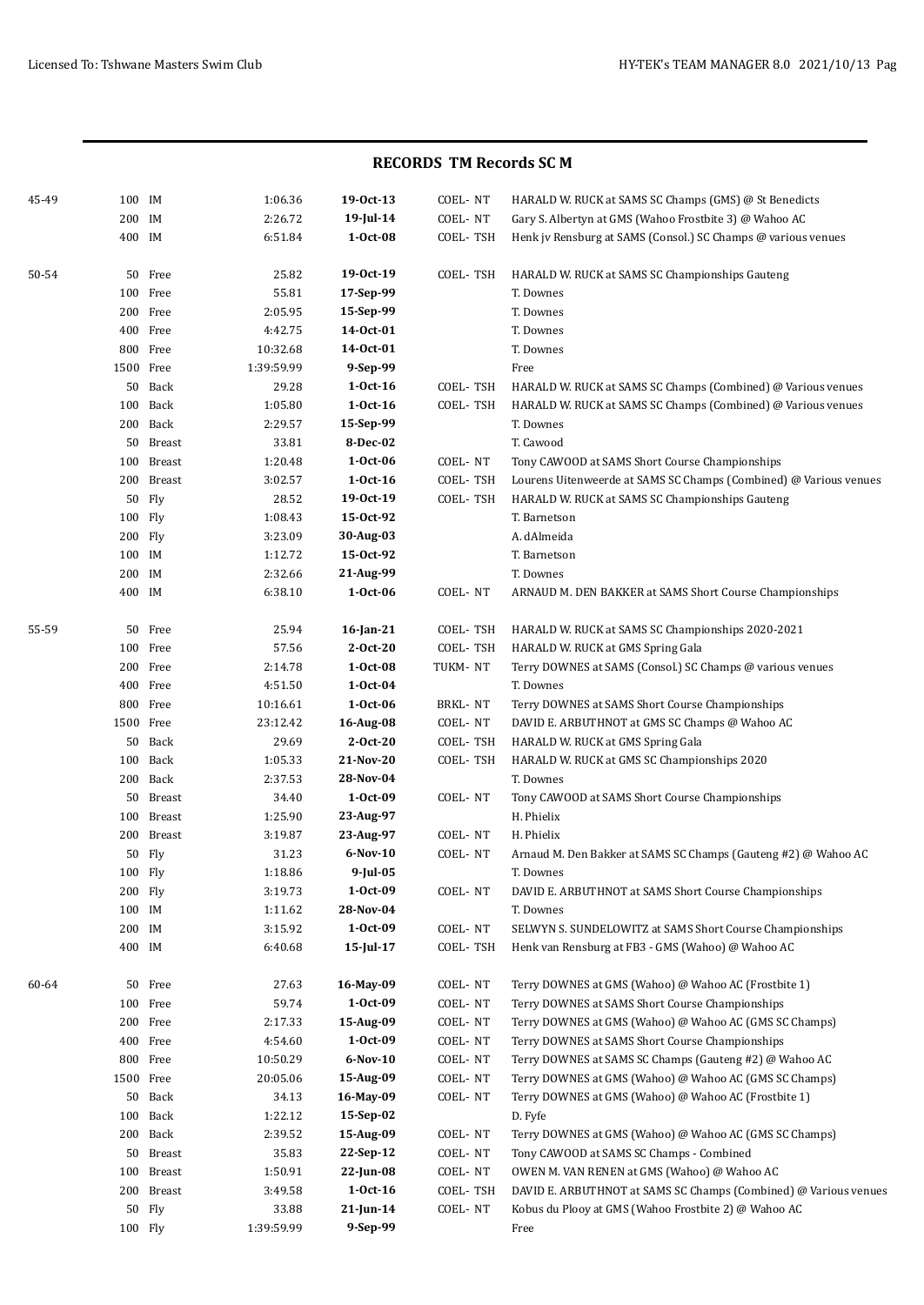| 45-49 | 100 IM  |            | 1:06.36    | 19-0ct-13       | COEL-NT  | HARALD W. RUCK at SAMS SC Champs (GMS) @ St Benedicts             |
|-------|---------|------------|------------|-----------------|----------|-------------------------------------------------------------------|
|       | 200 IM  |            | 2:26.72    | 19-Jul-14       | COEL-NT  | Gary S. Albertyn at GMS (Wahoo Frostbite 3) @ Wahoo AC            |
|       | 400 IM  |            | 6:51.84    | $1-0ct-08$      | COEL-TSH | Henk jv Rensburg at SAMS (Consol.) SC Champs @ various venues     |
| 50-54 |         | 50 Free    | 25.82      | 19-0ct-19       | COEL-TSH | HARALD W. RUCK at SAMS SC Championships Gauteng                   |
|       |         | 100 Free   | 55.81      | 17-Sep-99       |          | T. Downes                                                         |
|       |         | 200 Free   | 2:05.95    | 15-Sep-99       |          | T. Downes                                                         |
|       |         | 400 Free   | 4:42.75    | 14-0ct-01       |          | T. Downes                                                         |
|       |         | 800 Free   | 10:32.68   | 14-0ct-01       |          | T. Downes                                                         |
|       |         | 1500 Free  | 1:39:59.99 | 9-Sep-99        |          | Free                                                              |
|       |         | 50 Back    | 29.28      | $1-0ct-16$      | COEL-TSH | HARALD W. RUCK at SAMS SC Champs (Combined) @ Various venues      |
|       |         | 100 Back   | 1:05.80    | $1-0ct-16$      | COEL-TSH | HARALD W. RUCK at SAMS SC Champs (Combined) @ Various venues      |
|       |         | 200 Back   | 2:29.57    | 15-Sep-99       |          | T. Downes                                                         |
|       |         | 50 Breast  | 33.81      | 8-Dec-02        |          | T. Cawood                                                         |
|       |         | 100 Breast | 1:20.48    | $1-0ct-06$      | COEL-NT  | Tony CAWOOD at SAMS Short Course Championships                    |
|       |         | 200 Breast | 3:02.57    | $1-0ct-16$      | COEL-TSH | Lourens Uitenweerde at SAMS SC Champs (Combined) @ Various venues |
|       |         | 50 Fly     | 28.52      | 19-0ct-19       | COEL-TSH | HARALD W. RUCK at SAMS SC Championships Gauteng                   |
|       | 100 Fly |            | 1:08.43    | 15-0ct-92       |          | T. Barnetson                                                      |
|       | 200 Fly |            | 3:23.09    | 30-Aug-03       |          | A. dAlmeida                                                       |
|       | 100 IM  |            | 1:12.72    | 15-Oct-92       |          | T. Barnetson                                                      |
|       | 200 IM  |            | 2:32.66    | 21-Aug-99       |          | T. Downes                                                         |
|       | 400 IM  |            | 6:38.10    | $1-0ct-06$      | COEL-NT  | ARNAUD M. DEN BAKKER at SAMS Short Course Championships           |
| 55-59 |         | 50 Free    | 25.94      | $16$ -Jan-21    | COEL-TSH | HARALD W. RUCK at SAMS SC Championships 2020-2021                 |
|       |         | 100 Free   | 57.56      | $2-0ct-20$      | COEL-TSH | HARALD W. RUCK at GMS Spring Gala                                 |
|       |         | 200 Free   | 2:14.78    | $1-0ct-08$      | TUKM-NT  | Terry DOWNES at SAMS (Consol.) SC Champs @ various venues         |
|       |         | 400 Free   | 4:51.50    | $1-0ct-04$      |          | T. Downes                                                         |
|       |         | 800 Free   | 10:16.61   | $1-0ct-06$      | BRKL-NT  | Terry DOWNES at SAMS Short Course Championships                   |
|       |         | 1500 Free  | 23:12.42   | 16-Aug-08       | COEL-NT  | DAVID E. ARBUTHNOT at GMS SC Champs @ Wahoo AC                    |
|       |         | 50 Back    | 29.69      | $2-0ct-20$      | COEL-TSH | HARALD W. RUCK at GMS Spring Gala                                 |
|       |         | 100 Back   | 1:05.33    | 21-Nov-20       | COEL-TSH | HARALD W. RUCK at GMS SC Championships 2020                       |
|       |         | 200 Back   | 2:37.53    | 28-Nov-04       |          | T. Downes                                                         |
|       |         | 50 Breast  | 34.40      | 1-Oct-09        | COEL-NT  | Tony CAWOOD at SAMS Short Course Championships                    |
|       |         | 100 Breast | 1:25.90    | 23-Aug-97       |          | H. Phielix                                                        |
|       |         | 200 Breast | 3:19.87    | 23-Aug-97       | COEL-NT  | H. Phielix                                                        |
|       | 50      | Fly        | 31.23      | 6-Nov-10        | COEL-NT  | Arnaud M. Den Bakker at SAMS SC Champs (Gauteng #2) @ Wahoo AC    |
|       | 100 Flv |            | 1:18.86    | $9$ -Jul-05     |          | T. Downes                                                         |
|       | 200 Fly |            | 3:19.73    | 1-Oct-09        | COEL-NT  | DAVID E. ARBUTHNOT at SAMS Short Course Championships             |
|       | 100 IM  |            | 1:11.62    | 28-Nov-04       |          | T. Downes                                                         |
|       | 200 IM  |            | 3:15.92    | 1-Oct-09        | COEL-NT  | SELWYN S. SUNDELOWITZ at SAMS Short Course Championships          |
|       | 400 IM  |            | 6:40.68    | $15$ -Jul- $17$ | COEL-TSH | Henk van Rensburg at FB3 - GMS (Wahoo) @ Wahoo AC                 |
| 60-64 |         | 50 Free    | 27.63      | 16-May-09       | COEL-NT  | Terry DOWNES at GMS (Wahoo) @ Wahoo AC (Frostbite 1)              |
|       |         | 100 Free   | 59.74      | 1-Oct-09        | COEL-NT  | Terry DOWNES at SAMS Short Course Championships                   |
|       |         | 200 Free   | 2:17.33    | 15-Aug-09       | COEL-NT  | Terry DOWNES at GMS (Wahoo) @ Wahoo AC (GMS SC Champs)            |
|       |         | 400 Free   | 4:54.60    | 1-Oct-09        | COEL-NT  | Terry DOWNES at SAMS Short Course Championships                   |
|       |         | 800 Free   | 10:50.29   | $6-Nov-10$      | COEL-NT  | Terry DOWNES at SAMS SC Champs (Gauteng #2) @ Wahoo AC            |
|       |         | 1500 Free  | 20:05.06   | 15-Aug-09       | COEL-NT  | Terry DOWNES at GMS (Wahoo) @ Wahoo AC (GMS SC Champs)            |
|       |         | 50 Back    | 34.13      | 16-May-09       | COEL-NT  | Terry DOWNES at GMS (Wahoo) @ Wahoo AC (Frostbite 1)              |
|       |         | 100 Back   | 1:22.12    | 15-Sep-02       |          | D. Fyfe                                                           |
|       |         | 200 Back   | 2:39.52    | 15-Aug-09       | COEL-NT  | Terry DOWNES at GMS (Wahoo) @ Wahoo AC (GMS SC Champs)            |
|       |         | 50 Breast  | 35.83      | 22-Sep-12       | COEL-NT  | Tony CAWOOD at SAMS SC Champs - Combined                          |
|       |         | 100 Breast | 1:50.91    | 22-Jun-08       | COEL-NT  | OWEN M. VAN RENEN at GMS (Wahoo) @ Wahoo AC                       |
|       |         | 200 Breast | 3:49.58    | $1-0ct-16$      | COEL-TSH | DAVID E. ARBUTHNOT at SAMS SC Champs (Combined) @ Various venues  |
|       |         | 50 Fly     | 33.88      | $21$ -Jun-14    | COEL-NT  | Kobus du Plooy at GMS (Wahoo Frostbite 2) @ Wahoo AC              |
|       |         | 100 Fly    | 1:39:59.99 | 9-Sep-99        |          | Free                                                              |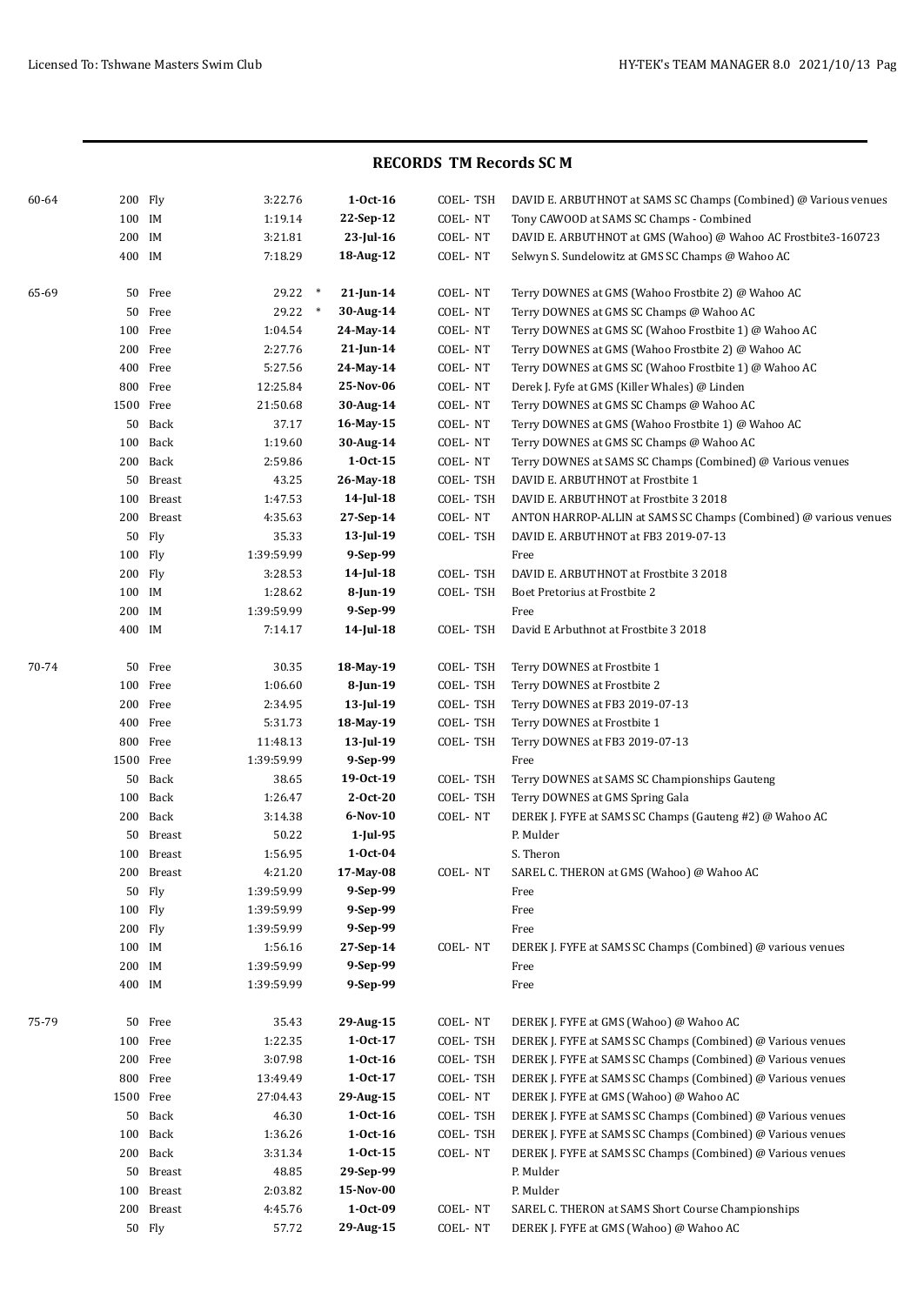| 60-64 | 200 Fly   |            | 3:22.76    | $1-0ct-16$             | COEL-TSH | DAVID E. ARBUTHNOT at SAMS SC Champs (Combined) @ Various venues |
|-------|-----------|------------|------------|------------------------|----------|------------------------------------------------------------------|
|       | 100 IM    |            | 1:19.14    | 22-Sep-12              | COEL-NT  | Tony CAWOOD at SAMS SC Champs - Combined                         |
|       | 200 IM    |            | 3:21.81    | 23-Jul-16              | COEL-NT  | DAVID E. ARBUTHNOT at GMS (Wahoo) @ Wahoo AC Frostbite3-160723   |
|       | 400 IM    |            | 7:18.29    | 18-Aug-12              | COEL-NT  | Selwyn S. Sundelowitz at GMS SC Champs @ Wahoo AC                |
| 65-69 |           | 50 Free    | 29.22      | $\ast$<br>$21$ -Jun-14 | COEL-NT  | Terry DOWNES at GMS (Wahoo Frostbite 2) @ Wahoo AC               |
|       |           | 50 Free    | 29.22      | $\ast$<br>30-Aug-14    | COEL-NT  | Terry DOWNES at GMS SC Champs @ Wahoo AC                         |
|       |           | 100 Free   | 1:04.54    | 24-May-14              | COEL-NT  | Terry DOWNES at GMS SC (Wahoo Frostbite 1) @ Wahoo AC            |
|       |           | 200 Free   | 2:27.76    | $21$ -Jun-14           | COEL-NT  | Terry DOWNES at GMS (Wahoo Frostbite 2) @ Wahoo AC               |
|       |           | 400 Free   | 5:27.56    | 24-May-14              | COEL-NT  | Terry DOWNES at GMS SC (Wahoo Frostbite 1) @ Wahoo AC            |
|       |           | 800 Free   | 12:25.84   | 25-Nov-06              | COEL-NT  | Derek J. Fyfe at GMS (Killer Whales) @ Linden                    |
|       |           | 1500 Free  | 21:50.68   | 30-Aug-14              | COEL-NT  | Terry DOWNES at GMS SC Champs @ Wahoo AC                         |
|       |           | 50 Back    | 37.17      | 16-May-15              | COEL-NT  | Terry DOWNES at GMS (Wahoo Frostbite 1) @ Wahoo AC               |
|       |           | 100 Back   | 1:19.60    | 30-Aug-14              | COEL-NT  | Terry DOWNES at GMS SC Champs @ Wahoo AC                         |
|       |           | 200 Back   | 2:59.86    | $1 - Oct - 15$         | COEL-NT  | Terry DOWNES at SAMS SC Champs (Combined) @ Various venues       |
|       |           | 50 Breast  | 43.25      | 26-May-18              | COEL-TSH | DAVID E. ARBUTHNOT at Frostbite 1                                |
|       |           | 100 Breast | 1:47.53    | 14-Jul-18              | COEL-TSH | DAVID E. ARBUTHNOT at Frostbite 3 2018                           |
|       |           | 200 Breast | 4:35.63    | 27-Sep-14              | COEL-NT  | ANTON HARROP-ALLIN at SAMS SC Champs (Combined) @ various venues |
|       |           | 50 Fly     | 35.33      | 13-Jul-19              | COEL-TSH | DAVID E. ARBUTHNOT at FB3 2019-07-13                             |
|       | 100 Fly   |            | 1:39:59.99 | 9-Sep-99               |          | Free                                                             |
|       | 200 Fly   |            | 3:28.53    | $14$ -Jul-18           | COEL-TSH | DAVID E. ARBUTHNOT at Frostbite 3 2018                           |
|       | 100 IM    |            | 1:28.62    | 8-Jun-19               | COEL-TSH | Boet Pretorius at Frostbite 2                                    |
|       | 200       | IM         | 1:39:59.99 | 9-Sep-99               |          | Free                                                             |
|       | 400 IM    |            | 7:14.17    | 14-Jul-18              | COEL-TSH | David E Arbuthnot at Frostbite 3 2018                            |
| 70-74 | 50        | Free       | 30.35      | 18-May-19              | COEL-TSH | Terry DOWNES at Frostbite 1                                      |
|       |           | 100 Free   | 1:06.60    | 8-Jun-19               | COEL-TSH | Terry DOWNES at Frostbite 2                                      |
|       |           | 200 Free   | 2:34.95    | 13-Jul-19              | COEL-TSH | Terry DOWNES at FB3 2019-07-13                                   |
|       |           | 400 Free   | 5:31.73    | 18-May-19              | COEL-TSH | Terry DOWNES at Frostbite 1                                      |
|       |           | 800 Free   | 11:48.13   | $13$ -Jul-19           | COEL-TSH | Terry DOWNES at FB3 2019-07-13                                   |
|       |           | 1500 Free  | 1:39:59.99 | 9-Sep-99               |          | Free                                                             |
|       |           | 50 Back    | 38.65      | 19-0ct-19              | COEL-TSH | Terry DOWNES at SAMS SC Championships Gauteng                    |
|       |           | 100 Back   | 1:26.47    | $2-0ct-20$             | COEL-TSH | Terry DOWNES at GMS Spring Gala                                  |
|       |           | 200 Back   | 3:14.38    | $6-Nov-10$             | COEL-NT  | DEREK J. FYFE at SAMS SC Champs (Gauteng #2) @ Wahoo AC          |
|       |           | 50 Breast  | 50.22      | 1-Jul-95               |          | P. Mulder                                                        |
|       |           | 100 Breast | 1:56.95    | $1-0ct-04$             |          | S. Theron                                                        |
|       |           | 200 Breast | 4:21.20    | 17-May-08              | COEL-NT  | SAREL C. THERON at GMS (Wahoo) @ Wahoo AC                        |
|       |           | 50 Fly     | 1:39:59.99 | 9-Sep-99               |          | Free                                                             |
|       | 100 Fly   |            | 1:39:59.99 | 9-Sep-99               |          | Free                                                             |
|       | 200 Fly   |            | 1:39:59.99 | 9-Sep-99               |          | Free                                                             |
|       | 100 IM    |            | 1:56.16    | 27-Sep-14              | COEL-NT  | DEREK J. FYFE at SAMS SC Champs (Combined) @ various venues      |
|       | 200 IM    |            | 1:39:59.99 | 9-Sep-99               |          | Free                                                             |
|       | 400 IM    |            | 1:39:59.99 | 9-Sep-99               |          | Free                                                             |
| 75-79 |           | 50 Free    | 35.43      | 29-Aug-15              | COEL-NT  | DEREK J. FYFE at GMS (Wahoo) @ Wahoo AC                          |
|       |           | 100 Free   | 1:22.35    | $1 - Oct - 17$         | COEL-TSH | DEREK J. FYFE at SAMS SC Champs (Combined) @ Various venues      |
|       |           | 200 Free   | 3:07.98    | $1-0ct-16$             | COEL-TSH | DEREK J. FYFE at SAMS SC Champs (Combined) @ Various venues      |
|       |           | 800 Free   | 13:49.49   | $1 - Oct - 17$         | COEL-TSH | DEREK J. FYFE at SAMS SC Champs (Combined) @ Various venues      |
|       | 1500 Free |            | 27:04.43   | 29-Aug-15              | COEL-NT  | DEREK J. FYFE at GMS (Wahoo) @ Wahoo AC                          |
|       |           | 50 Back    | 46.30      | $1-0ct-16$             | COEL-TSH | DEREK J. FYFE at SAMS SC Champs (Combined) @ Various venues      |
|       |           | 100 Back   | 1:36.26    | $1-0ct-16$             | COEL-TSH | DEREK J. FYFE at SAMS SC Champs (Combined) @ Various venues      |
|       |           | 200 Back   | 3:31.34    | $1-0ct-15$             | COEL-NT  | DEREK J. FYFE at SAMS SC Champs (Combined) @ Various venues      |
|       |           | 50 Breast  | 48.85      | 29-Sep-99              |          | P. Mulder                                                        |
|       |           | 100 Breast | 2:03.82    | 15-Nov-00              |          | P. Mulder                                                        |
|       |           | 200 Breast | 4:45.76    | 1-Oct-09               | COEL-NT  | SAREL C. THERON at SAMS Short Course Championships               |
|       |           | 50 Fly     | 57.72      | 29-Aug-15              | COEL-NT  | DEREK J. FYFE at GMS (Wahoo) @ Wahoo AC                          |
|       |           |            |            |                        |          |                                                                  |